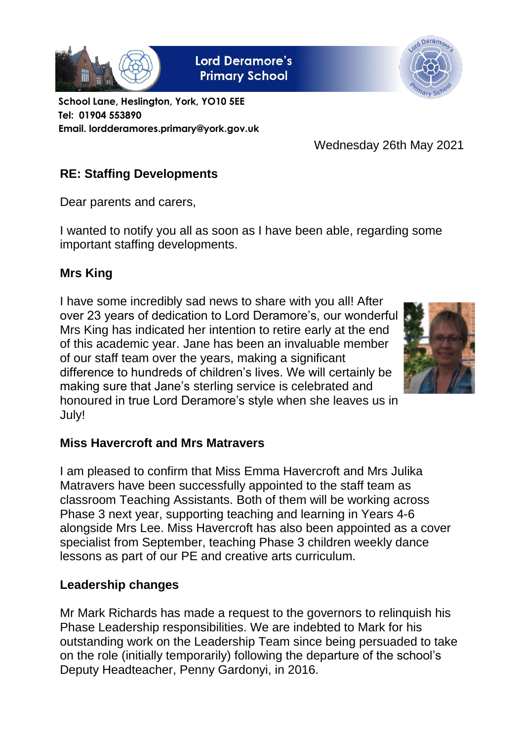

**Lord Deramore's Primary School** 



**School Lane, Heslington, York, YO10 5EE Tel: 01904 553890 Email. lordderamores.primary@york.gov.uk**

Wednesday 26th May 2021

# **RE: Staffing Developments**

Dear parents and carers,

I wanted to notify you all as soon as I have been able, regarding some important staffing developments.

## **Mrs King**

I have some incredibly sad news to share with you all! After over 23 years of dedication to Lord Deramore's, our wonderful Mrs King has indicated her intention to retire early at the end of this academic year. Jane has been an invaluable member of our staff team over the years, making a significant difference to hundreds of children's lives. We will certainly be making sure that Jane's sterling service is celebrated and honoured in true Lord Deramore's style when she leaves us in July!



## **Miss Havercroft and Mrs Matravers**

I am pleased to confirm that Miss Emma Havercroft and Mrs Julika Matravers have been successfully appointed to the staff team as classroom Teaching Assistants. Both of them will be working across Phase 3 next year, supporting teaching and learning in Years 4-6 alongside Mrs Lee. Miss Havercroft has also been appointed as a cover specialist from September, teaching Phase 3 children weekly dance lessons as part of our PE and creative arts curriculum.

## **Leadership changes**

Mr Mark Richards has made a request to the governors to relinquish his Phase Leadership responsibilities. We are indebted to Mark for his outstanding work on the Leadership Team since being persuaded to take on the role (initially temporarily) following the departure of the school's Deputy Headteacher, Penny Gardonyi, in 2016.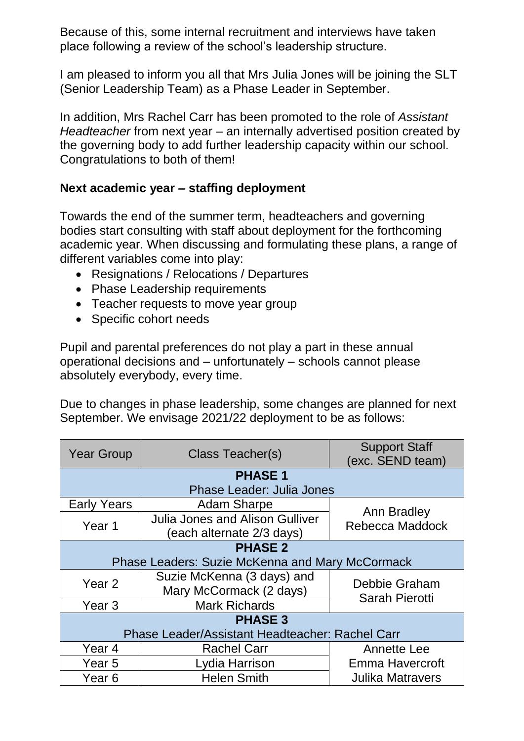Because of this, some internal recruitment and interviews have taken place following a review of the school's leadership structure.

I am pleased to inform you all that Mrs Julia Jones will be joining the SLT (Senior Leadership Team) as a Phase Leader in September.

In addition, Mrs Rachel Carr has been promoted to the role of *Assistant Headteacher* from next year – an internally advertised position created by the governing body to add further leadership capacity within our school. Congratulations to both of them!

## **Next academic year – staffing deployment**

Towards the end of the summer term, headteachers and governing bodies start consulting with staff about deployment for the forthcoming academic year. When discussing and formulating these plans, a range of different variables come into play:

- Resignations / Relocations / Departures
- Phase Leadership requirements
- Teacher requests to move year group
- Specific cohort needs

Pupil and parental preferences do not play a part in these annual operational decisions and – unfortunately – schools cannot please absolutely everybody, every time.

Due to changes in phase leadership, some changes are planned for next September. We envisage 2021/22 deployment to be as follows:

| <b>Year Group</b>                                      | Class Teacher(s)                                                   | <b>Support Staff</b><br>(exc. SEND team) |
|--------------------------------------------------------|--------------------------------------------------------------------|------------------------------------------|
| <b>PHASE 1</b>                                         |                                                                    |                                          |
| <b>Phase Leader: Julia Jones</b>                       |                                                                    |                                          |
| <b>Early Years</b>                                     | <b>Adam Sharpe</b>                                                 | Ann Bradley                              |
| Year 1                                                 | <b>Julia Jones and Alison Gulliver</b><br>each alternate 2/3 days) | Rebecca Maddock                          |
| <b>PHASE 2</b>                                         |                                                                    |                                          |
| <b>Phase Leaders: Suzie McKenna and Mary McCormack</b> |                                                                    |                                          |
| Year 2                                                 | Suzie McKenna (3 days) and<br>Mary McCormack (2 days)              | Debbie Graham                            |
| Year <sub>3</sub>                                      | <b>Mark Richards</b>                                               | <b>Sarah Pierotti</b>                    |
| <b>PHASE 3</b>                                         |                                                                    |                                          |
| Phase Leader/Assistant Headteacher: Rachel Carr        |                                                                    |                                          |
| Year 4                                                 | <b>Rachel Carr</b>                                                 | Annette Lee                              |
| Year 5                                                 | Lydia Harrison                                                     | <b>Emma Havercroft</b>                   |
| Year <sub>6</sub>                                      | <b>Helen Smith</b>                                                 | <b>Julika Matravers</b>                  |